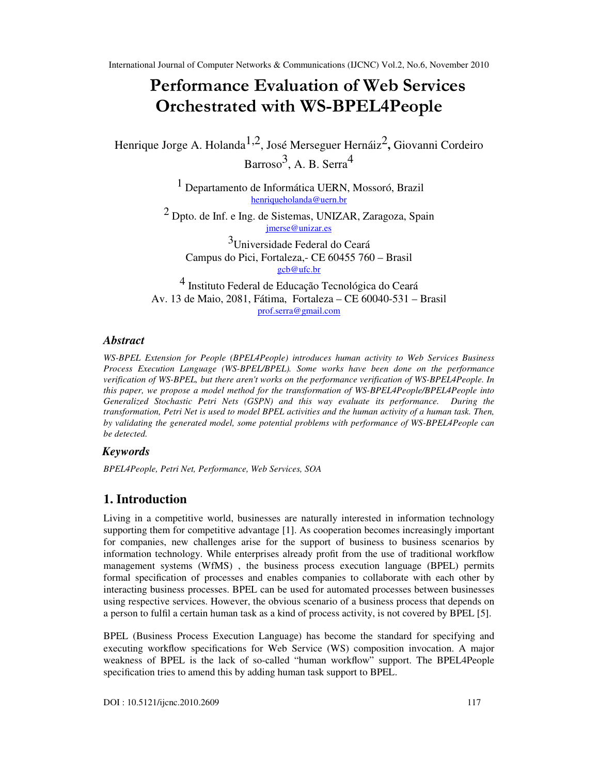# Performance Evaluation of Web Services Orchestrated with WS-BPEL4People

Henrique Jorge A. Holanda1,2, José Merseguer Hernáiz2 **,** Giovanni Cordeiro Barroso<sup>3</sup>, A. B. Serra<sup>4</sup>

> 1 Departamento de Informática UERN, Mossoró, Brazil henriqueholanda@uern.br

2 Dpto. de Inf. e Ing. de Sistemas, UNIZAR, Zaragoza, Spain jmerse@unizar.es

3Universidade Federal do Ceará Campus do Pici, Fortaleza,- CE 60455 760 – Brasil gcb@ufc.br

4 Instituto Federal de Educação Tecnológica do Ceará Av. 13 de Maio, 2081, Fátima, Fortaleza – CE 60040-531 – Brasil prof.serra@gmail.com

### *Abstract*

*WS-BPEL Extension for People (BPEL4People) introduces human activity to Web Services Business Process Execution Language (WS-BPEL/BPEL). Some works have been done on the performance verification of WS-BPEL, but there aren't works on the performance verification of WS-BPEL4People. In this paper, we propose a model method for the transformation of WS-BPEL4People/BPEL4People into Generalized Stochastic Petri Nets (GSPN) and this way evaluate its performance. During the transformation, Petri Net is used to model BPEL activities and the human activity of a human task. Then, by validating the generated model, some potential problems with performance of WS-BPEL4People can be detected.*

## *Keywords*

*BPEL4People, Petri Net, Performance, Web Services, SOA* 

## **1. Introduction**

Living in a competitive world, businesses are naturally interested in information technology supporting them for competitive advantage [1]. As cooperation becomes increasingly important for companies, new challenges arise for the support of business to business scenarios by information technology. While enterprises already profit from the use of traditional workflow management systems (WfMS) , the business process execution language (BPEL) permits formal specification of processes and enables companies to collaborate with each other by interacting business processes. BPEL can be used for automated processes between businesses using respective services. However, the obvious scenario of a business process that depends on a person to fulfil a certain human task as a kind of process activity, is not covered by BPEL [5].

BPEL (Business Process Execution Language) has become the standard for specifying and executing workflow specifications for Web Service (WS) composition invocation. A major weakness of BPEL is the lack of so-called "human workflow" support. The BPEL4People specification tries to amend this by adding human task support to BPEL.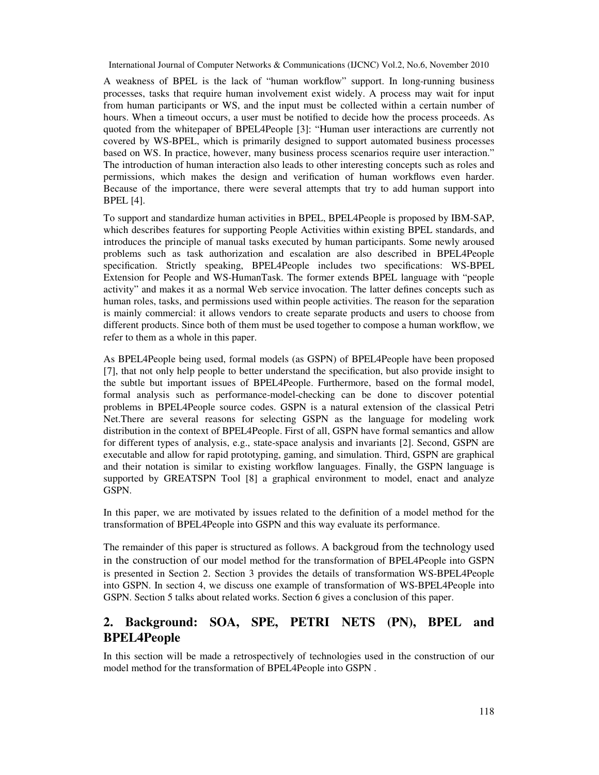A weakness of BPEL is the lack of "human workflow" support. In long-running business processes, tasks that require human involvement exist widely. A process may wait for input from human participants or WS, and the input must be collected within a certain number of hours. When a timeout occurs, a user must be notified to decide how the process proceeds. As quoted from the whitepaper of BPEL4People [3]: "Human user interactions are currently not covered by WS-BPEL, which is primarily designed to support automated business processes based on WS. In practice, however, many business process scenarios require user interaction." The introduction of human interaction also leads to other interesting concepts such as roles and permissions, which makes the design and verification of human workflows even harder. Because of the importance, there were several attempts that try to add human support into BPEL [4].

To support and standardize human activities in BPEL, BPEL4People is proposed by IBM-SAP, which describes features for supporting People Activities within existing BPEL standards, and introduces the principle of manual tasks executed by human participants. Some newly aroused problems such as task authorization and escalation are also described in BPEL4People specification. Strictly speaking, BPEL4People includes two specifications: WS-BPEL Extension for People and WS-HumanTask. The former extends BPEL language with "people activity" and makes it as a normal Web service invocation. The latter defines concepts such as human roles, tasks, and permissions used within people activities. The reason for the separation is mainly commercial: it allows vendors to create separate products and users to choose from different products. Since both of them must be used together to compose a human workflow, we refer to them as a whole in this paper.

As BPEL4People being used, formal models (as GSPN) of BPEL4People have been proposed [7], that not only help people to better understand the specification, but also provide insight to the subtle but important issues of BPEL4People. Furthermore, based on the formal model, formal analysis such as performance-model-checking can be done to discover potential problems in BPEL4People source codes. GSPN is a natural extension of the classical Petri Net.There are several reasons for selecting GSPN as the language for modeling work distribution in the context of BPEL4People. First of all, GSPN have formal semantics and allow for different types of analysis, e.g., state-space analysis and invariants [2]. Second, GSPN are executable and allow for rapid prototyping, gaming, and simulation. Third, GSPN are graphical and their notation is similar to existing workflow languages. Finally, the GSPN language is supported by GREATSPN Tool [8] a graphical environment to model, enact and analyze GSPN.

In this paper, we are motivated by issues related to the definition of a model method for the transformation of BPEL4People into GSPN and this way evaluate its performance.

The remainder of this paper is structured as follows. A backgroud from the technology used in the construction of our model method for the transformation of BPEL4People into GSPN is presented in Section 2. Section 3 provides the details of transformation WS-BPEL4People into GSPN. In section 4, we discuss one example of transformation of WS-BPEL4People into GSPN. Section 5 talks about related works. Section 6 gives a conclusion of this paper.

## **2. Background: SOA, SPE, PETRI NETS (PN), BPEL and BPEL4People**

In this section will be made a retrospectively of technologies used in the construction of our model method for the transformation of BPEL4People into GSPN .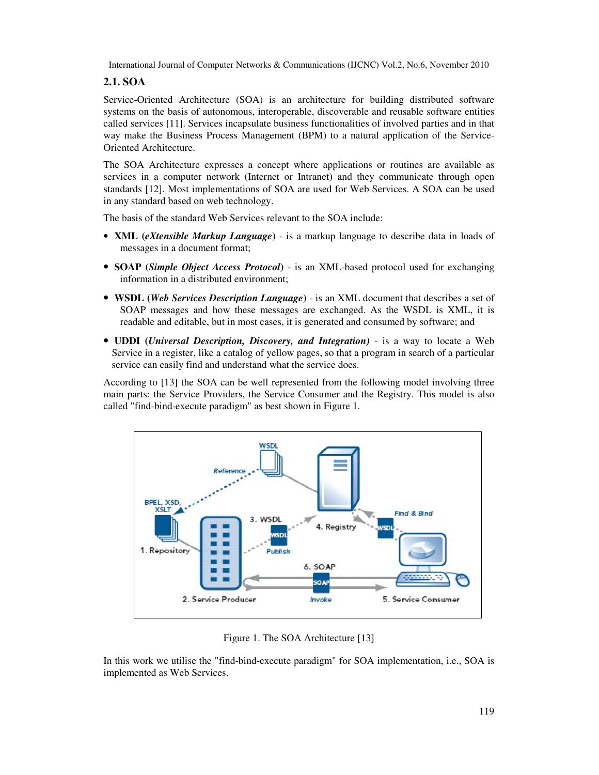## **2.1. SOA**

Service-Oriented Architecture (SOA) is an architecture for building distributed software systems on the basis of autonomous, interoperable, discoverable and reusable software entities called services [11]. Services incapsulate business functionalities of involved parties and in that way make the Business Process Management (BPM) to a natural application of the Service-Oriented Architecture.

The SOA Architecture expresses a concept where applications or routines are available as services in a computer network (Internet or Intranet) and they communicate through open standards [12]. Most implementations of SOA are used for Web Services. A SOA can be used in any standard based on web technology.

The basis of the standard Web Services relevant to the SOA include:

- **XML** (*eXtensible Markup Language*) is a markup language to describe data in loads of messages in a document format;
- **SOAP** (*Simple Object Access Protocol*) is an XML-based protocol used for exchanging information in a distributed environment;
- • **WSDL (***Web Services Description Language***)**  is an XML document that describes a set of SOAP messages and how these messages are exchanged. As the WSDL is XML, it is readable and editable, but in most cases, it is generated and consumed by software; and
- • **UDDI (***Universal Description, Discovery, and Integration)*  is a way to locate a Web Service in a register, like a catalog of yellow pages, so that a program in search of a particular service can easily find and understand what the service does.

According to [13] the SOA can be well represented from the following model involving three main parts: the Service Providers, the Service Consumer and the Registry. This model is also called "find-bind-execute paradigm" as best shown in Figure 1.



Figure 1. The SOA Architecture [13]

In this work we utilise the "find-bind-execute paradigm" for SOA implementation, i.e., SOA is implemented as Web Services.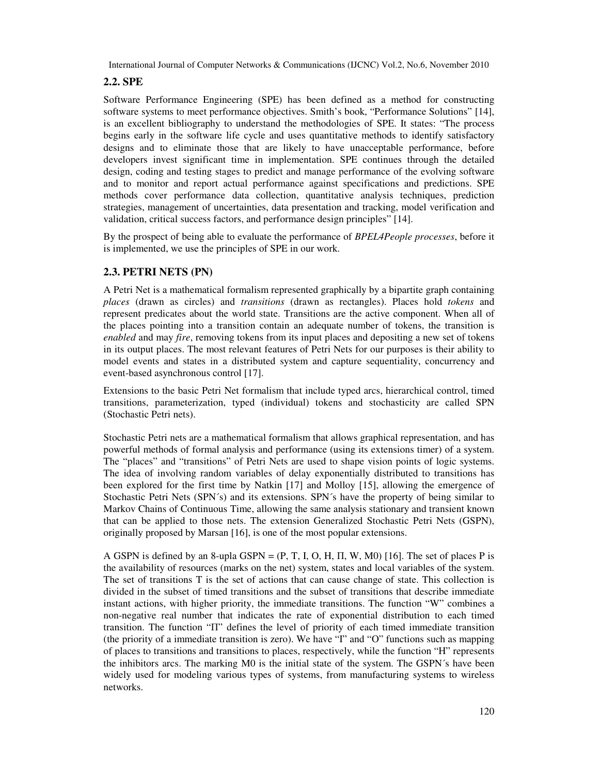## **2.2. SPE**

Software Performance Engineering (SPE) has been defined as a method for constructing software systems to meet performance objectives. Smith's book, "Performance Solutions" [14], is an excellent bibliography to understand the methodologies of SPE. It states: "The process begins early in the software life cycle and uses quantitative methods to identify satisfactory designs and to eliminate those that are likely to have unacceptable performance, before developers invest significant time in implementation. SPE continues through the detailed design, coding and testing stages to predict and manage performance of the evolving software and to monitor and report actual performance against specifications and predictions. SPE methods cover performance data collection, quantitative analysis techniques, prediction strategies, management of uncertainties, data presentation and tracking, model verification and validation, critical success factors, and performance design principles" [14].

By the prospect of being able to evaluate the performance of *BPEL4People processes*, before it is implemented, we use the principles of SPE in our work.

## **2.3. PETRI NETS (PN)**

A Petri Net is a mathematical formalism represented graphically by a bipartite graph containing *places* (drawn as circles) and *transitions* (drawn as rectangles). Places hold *tokens* and represent predicates about the world state. Transitions are the active component. When all of the places pointing into a transition contain an adequate number of tokens, the transition is *enabled* and may *fire*, removing tokens from its input places and depositing a new set of tokens in its output places. The most relevant features of Petri Nets for our purposes is their ability to model events and states in a distributed system and capture sequentiality, concurrency and event-based asynchronous control [17].

Extensions to the basic Petri Net formalism that include typed arcs, hierarchical control, timed transitions, parameterization, typed (individual) tokens and stochasticity are called SPN (Stochastic Petri nets).

Stochastic Petri nets are a mathematical formalism that allows graphical representation, and has powerful methods of formal analysis and performance (using its extensions timer) of a system. The "places" and "transitions" of Petri Nets are used to shape vision points of logic systems. The idea of involving random variables of delay exponentially distributed to transitions has been explored for the first time by Natkin [17] and Molloy [15], allowing the emergence of Stochastic Petri Nets (SPN´s) and its extensions. SPN´s have the property of being similar to Markov Chains of Continuous Time, allowing the same analysis stationary and transient known that can be applied to those nets. The extension Generalized Stochastic Petri Nets (GSPN), originally proposed by Marsan [16], is one of the most popular extensions.

A GSPN is defined by an 8-upla GSPN =  $(P, T, I, O, H, \Pi, W, M0)$  [16]. The set of places P is the availability of resources (marks on the net) system, states and local variables of the system. The set of transitions T is the set of actions that can cause change of state. This collection is divided in the subset of timed transitions and the subset of transitions that describe immediate instant actions, with higher priority, the immediate transitions. The function "W" combines a non-negative real number that indicates the rate of exponential distribution to each timed transition. The function "Π" defines the level of priority of each timed immediate transition (the priority of a immediate transition is zero). We have "I" and "O" functions such as mapping of places to transitions and transitions to places, respectively, while the function "H" represents the inhibitors arcs. The marking M0 is the initial state of the system. The GSPN´s have been widely used for modeling various types of systems, from manufacturing systems to wireless networks.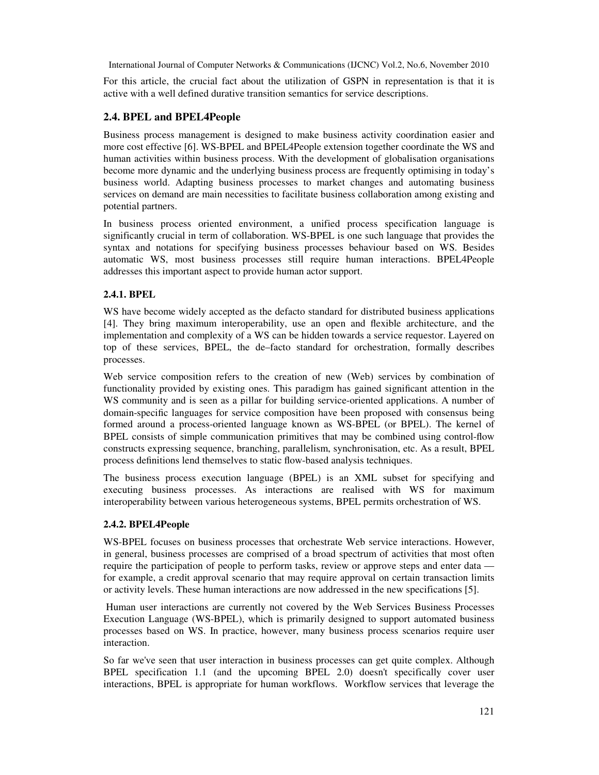For this article, the crucial fact about the utilization of GSPN in representation is that it is active with a well defined durative transition semantics for service descriptions.

## **2.4. BPEL and BPEL4People**

Business process management is designed to make business activity coordination easier and more cost effective [6]. WS-BPEL and BPEL4People extension together coordinate the WS and human activities within business process. With the development of globalisation organisations become more dynamic and the underlying business process are frequently optimising in today's business world. Adapting business processes to market changes and automating business services on demand are main necessities to facilitate business collaboration among existing and potential partners.

In business process oriented environment, a unified process specification language is significantly crucial in term of collaboration. WS-BPEL is one such language that provides the syntax and notations for specifying business processes behaviour based on WS. Besides automatic WS, most business processes still require human interactions. BPEL4People addresses this important aspect to provide human actor support.

### **2.4.1. BPEL**

WS have become widely accepted as the defacto standard for distributed business applications [4]. They bring maximum interoperability, use an open and flexible architecture, and the implementation and complexity of a WS can be hidden towards a service requestor. Layered on top of these services, BPEL, the de–facto standard for orchestration, formally describes processes.

Web service composition refers to the creation of new (Web) services by combination of functionality provided by existing ones. This paradigm has gained significant attention in the WS community and is seen as a pillar for building service-oriented applications. A number of domain-specific languages for service composition have been proposed with consensus being formed around a process-oriented language known as WS-BPEL (or BPEL). The kernel of BPEL consists of simple communication primitives that may be combined using control-flow constructs expressing sequence, branching, parallelism, synchronisation, etc. As a result, BPEL process definitions lend themselves to static flow-based analysis techniques.

The business process execution language (BPEL) is an XML subset for specifying and executing business processes. As interactions are realised with WS for maximum interoperability between various heterogeneous systems, BPEL permits orchestration of WS.

#### **2.4.2. BPEL4People**

WS-BPEL focuses on business processes that orchestrate Web service interactions. However, in general, business processes are comprised of a broad spectrum of activities that most often require the participation of people to perform tasks, review or approve steps and enter data for example, a credit approval scenario that may require approval on certain transaction limits or activity levels. These human interactions are now addressed in the new specifications [5].

 Human user interactions are currently not covered by the Web Services Business Processes Execution Language (WS-BPEL), which is primarily designed to support automated business processes based on WS. In practice, however, many business process scenarios require user interaction.

So far we've seen that user interaction in business processes can get quite complex. Although BPEL specification 1.1 (and the upcoming BPEL 2.0) doesn't specifically cover user interactions, BPEL is appropriate for human workflows. Workflow services that leverage the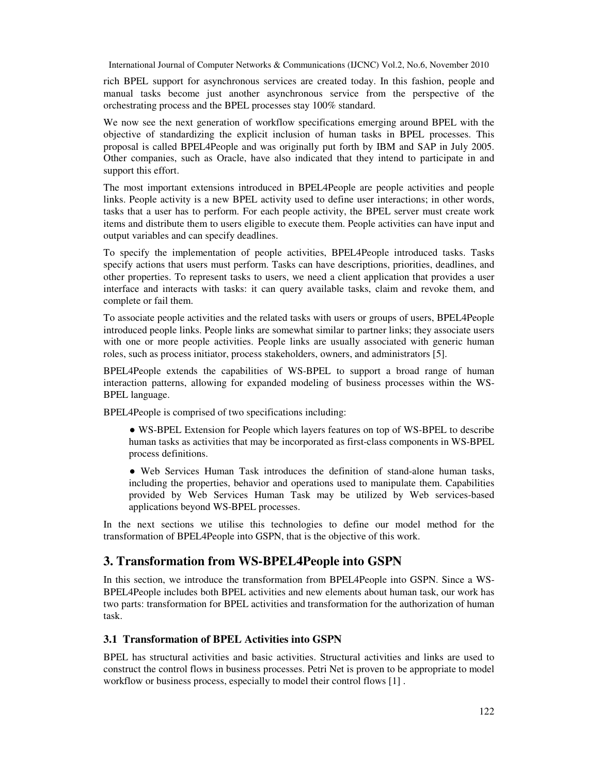rich BPEL support for asynchronous services are created today. In this fashion, people and manual tasks become just another asynchronous service from the perspective of the orchestrating process and the BPEL processes stay 100% standard.

We now see the next generation of workflow specifications emerging around BPEL with the objective of standardizing the explicit inclusion of human tasks in BPEL processes. This proposal is called BPEL4People and was originally put forth by IBM and SAP in July 2005. Other companies, such as Oracle, have also indicated that they intend to participate in and support this effort.

The most important extensions introduced in BPEL4People are people activities and people links. People activity is a new BPEL activity used to define user interactions; in other words, tasks that a user has to perform. For each people activity, the BPEL server must create work items and distribute them to users eligible to execute them. People activities can have input and output variables and can specify deadlines.

To specify the implementation of people activities, BPEL4People introduced tasks. Tasks specify actions that users must perform. Tasks can have descriptions, priorities, deadlines, and other properties. To represent tasks to users, we need a client application that provides a user interface and interacts with tasks: it can query available tasks, claim and revoke them, and complete or fail them.

To associate people activities and the related tasks with users or groups of users, BPEL4People introduced people links. People links are somewhat similar to partner links; they associate users with one or more people activities. People links are usually associated with generic human roles, such as process initiator, process stakeholders, owners, and administrators [5].

BPEL4People extends the capabilities of WS-BPEL to support a broad range of human interaction patterns, allowing for expanded modeling of business processes within the WS-BPEL language.

BPEL4People is comprised of two specifications including:

● WS-BPEL Extension for People which layers features on top of WS-BPEL to describe human tasks as activities that may be incorporated as first-class components in WS-BPEL process definitions.

● Web Services Human Task introduces the definition of stand-alone human tasks, including the properties, behavior and operations used to manipulate them. Capabilities provided by Web Services Human Task may be utilized by Web services-based applications beyond WS-BPEL processes.

In the next sections we utilise this technologies to define our model method for the transformation of BPEL4People into GSPN, that is the objective of this work.

## **3. Transformation from WS-BPEL4People into GSPN**

In this section, we introduce the transformation from BPEL4People into GSPN. Since a WS-BPEL4People includes both BPEL activities and new elements about human task, our work has two parts: transformation for BPEL activities and transformation for the authorization of human task.

#### **3.1 Transformation of BPEL Activities into GSPN**

BPEL has structural activities and basic activities. Structural activities and links are used to construct the control flows in business processes. Petri Net is proven to be appropriate to model workflow or business process, especially to model their control flows [1] .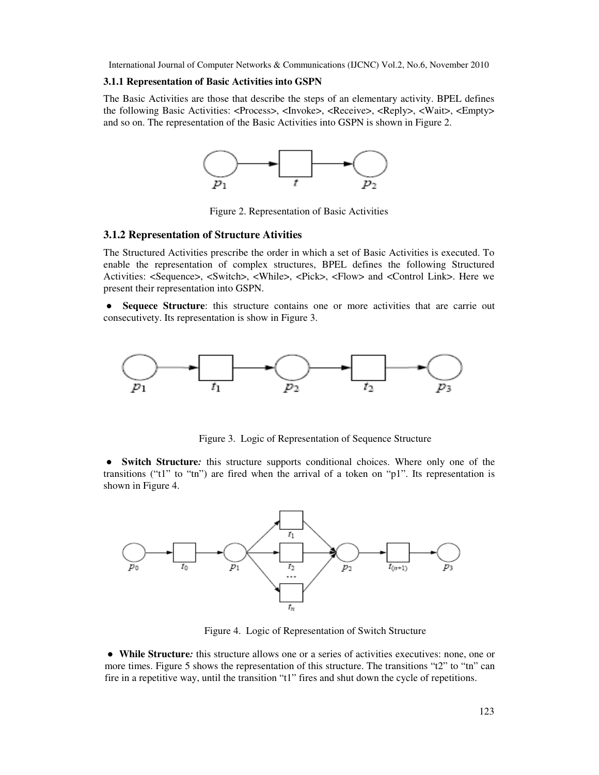#### **3.1.1 Representation of Basic Activities into GSPN**

The Basic Activities are those that describe the steps of an elementary activity. BPEL defines the following Basic Activities: <Process>, <Invoke>, <Receive>, <Reply>, <Wait>, <Empty> and so on. The representation of the Basic Activities into GSPN is shown in Figure 2.



Figure 2. Representation of Basic Activities

#### **3.1.2 Representation of Structure Ativities**

The Structured Activities prescribe the order in which a set of Basic Activities is executed. To enable the representation of complex structures, BPEL defines the following Structured Activities: <Sequence>, <Switch>, <While>, <Pick>, <Flow> and <Control Link>. Here we present their representation into GSPN.

● **Sequece Structure**: this structure contains one or more activities that are carrie out consecutivety. Its representation is show in Figure 3.



Figure 3. Logic of Representation of Sequence Structure

● **Switch Structure***:* this structure supports conditional choices. Where only one of the transitions ("t1" to "tn") are fired when the arrival of a token on "p1". Its representation is shown in Figure 4.



Figure 4. Logic of Representation of Switch Structure

● **While Structure***:* this structure allows one or a series of activities executives: none, one or more times. Figure 5 shows the representation of this structure. The transitions "t2" to "tn" can fire in a repetitive way, until the transition "t1" fires and shut down the cycle of repetitions.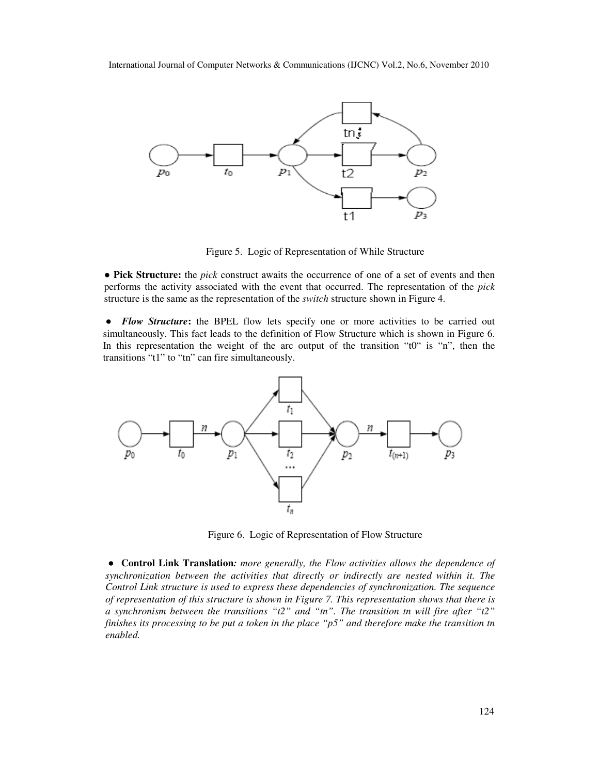

Figure 5. Logic of Representation of While Structure

● **Pick Structure:** the *pick* construct awaits the occurrence of one of a set of events and then performs the activity associated with the event that occurred. The representation of the *pick*  structure is the same as the representation of the *switch* structure shown in Figure 4.

● *Flow Structure***:** the BPEL flow lets specify one or more activities to be carried out simultaneously. This fact leads to the definition of Flow Structure which is shown in Figure 6. In this representation the weight of the arc output of the transition "t0" is "n", then the transitions "t1" to "tn" can fire simultaneously.



Figure 6. Logic of Representation of Flow Structure

●**Control Link Translation***: more generally, the Flow activities allows the dependence of synchronization between the activities that directly or indirectly are nested within it. The Control Link structure is used to express these dependencies of synchronization. The sequence of representation of this structure is shown in Figure 7. This representation shows that there is a synchronism between the transitions "t2" and "tn". The transition tn will fire after "t2" finishes its processing to be put a token in the place "p5" and therefore make the transition tn enabled.*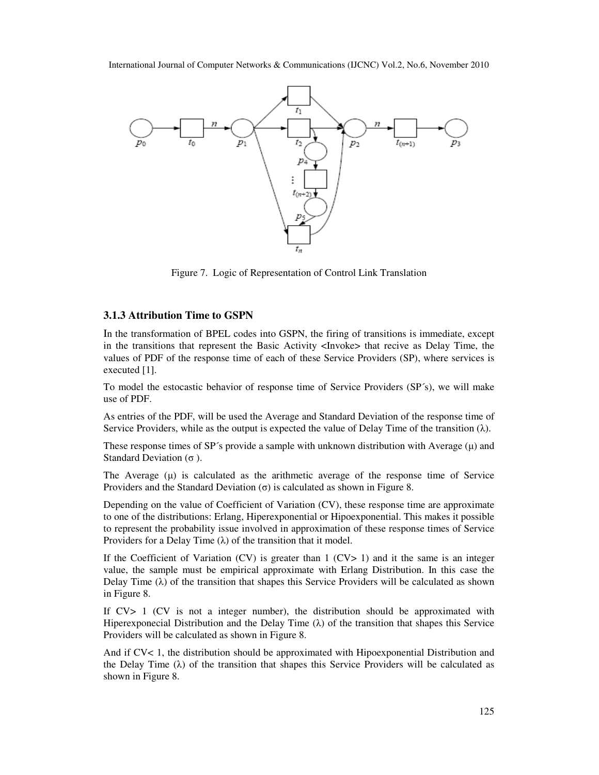

Figure 7. Logic of Representation of Control Link Translation

#### **3.1.3 Attribution Time to GSPN**

In the transformation of BPEL codes into GSPN, the firing of transitions is immediate, except in the transitions that represent the Basic Activity <Invoke> that recive as Delay Time, the values of PDF of the response time of each of these Service Providers (SP), where services is executed [1].

To model the estocastic behavior of response time of Service Providers (SP´s), we will make use of PDF.

As entries of the PDF, will be used the Average and Standard Deviation of the response time of Service Providers, while as the output is expected the value of Delay Time of the transition  $(\lambda)$ .

These response times of  $SP's$  provide a sample with unknown distribution with Average  $(\mu)$  and Standard Deviation  $(\sigma)$ .

The Average  $(\mu)$  is calculated as the arithmetic average of the response time of Service Providers and the Standard Deviation  $(\sigma)$  is calculated as shown in Figure 8.

Depending on the value of Coefficient of Variation (CV), these response time are approximate to one of the distributions: Erlang, Hiperexponential or Hipoexponential. This makes it possible to represent the probability issue involved in approximation of these response times of Service Providers for a Delay Time  $(\lambda)$  of the transition that it model.

If the Coefficient of Variation (CV) is greater than  $1$  (CV $> 1$ ) and it the same is an integer value, the sample must be empirical approximate with Erlang Distribution. In this case the Delay Time  $(\lambda)$  of the transition that shapes this Service Providers will be calculated as shown in Figure 8.

If CV> 1 (CV is not a integer number), the distribution should be approximated with Hiperexponecial Distribution and the Delay Time  $(\lambda)$  of the transition that shapes this Service Providers will be calculated as shown in Figure 8.

And if CV< 1, the distribution should be approximated with Hipoexponential Distribution and the Delay Time  $(\lambda)$  of the transition that shapes this Service Providers will be calculated as shown in Figure 8.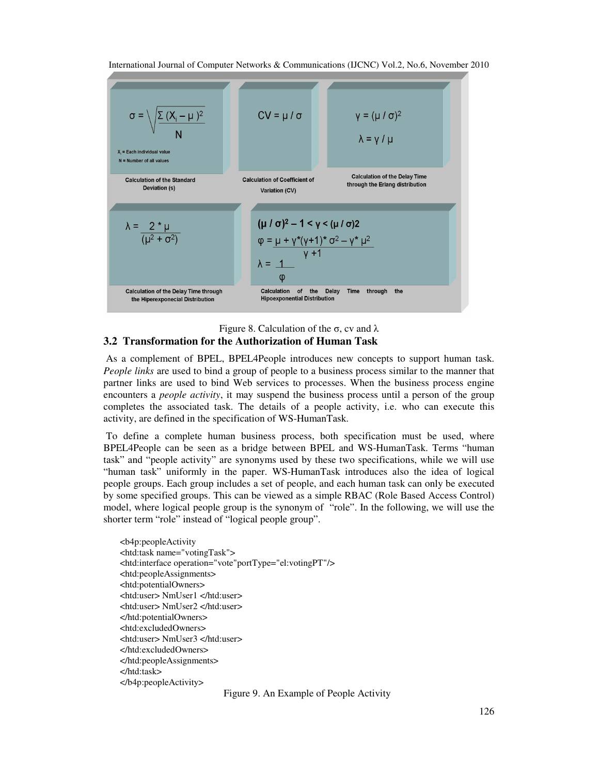

Figure 8. Calculation of the σ, cv and  $λ$ **3.2 Transformation for the Authorization of Human Task**

 As a complement of BPEL, BPEL4People introduces new concepts to support human task. *People links* are used to bind a group of people to a business process similar to the manner that partner links are used to bind Web services to processes. When the business process engine encounters a *people activity*, it may suspend the business process until a person of the group completes the associated task. The details of a people activity, i.e. who can execute this activity, are defined in the specification of WS-HumanTask.

 To define a complete human business process, both specification must be used, where BPEL4People can be seen as a bridge between BPEL and WS-HumanTask. Terms "human task" and "people activity" are synonyms used by these two specifications, while we will use "human task" uniformly in the paper. WS-HumanTask introduces also the idea of logical people groups. Each group includes a set of people, and each human task can only be executed by some specified groups. This can be viewed as a simple RBAC (Role Based Access Control) model, where logical people group is the synonym of "role". In the following, we will use the shorter term "role" instead of "logical people group".

<b4p:peopleActivity <htd:task name="votingTask"> <htd:interface operation="vote"portType="el:votingPT"/> <htd:peopleAssignments> <htd:potentialOwners> <htd:user> NmUser1 </htd:user> <htd:user> NmUser2 </htd:user> </htd:potentialOwners> <htd:excludedOwners> <htd:user> NmUser3 </htd:user> </htd:excludedOwners> </htd:peopleAssignments> </htd:task> </b4p:peopleActivity>

Figure 9. An Example of People Activity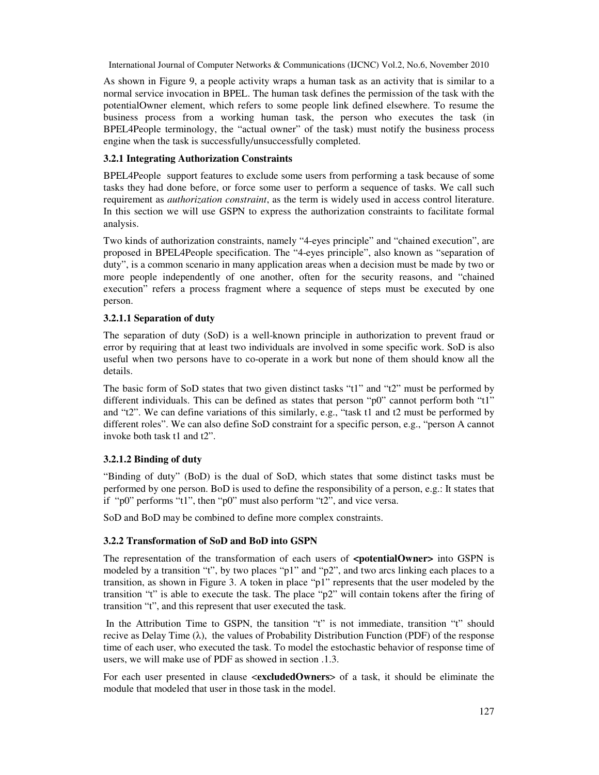As shown in Figure 9, a people activity wraps a human task as an activity that is similar to a normal service invocation in BPEL. The human task defines the permission of the task with the potentialOwner element, which refers to some people link defined elsewhere. To resume the business process from a working human task, the person who executes the task (in BPEL4People terminology, the "actual owner" of the task) must notify the business process engine when the task is successfully/unsuccessfully completed.

#### **3.2.1 Integrating Authorization Constraints**

BPEL4People support features to exclude some users from performing a task because of some tasks they had done before, or force some user to perform a sequence of tasks. We call such requirement as *authorization constraint*, as the term is widely used in access control literature. In this section we will use GSPN to express the authorization constraints to facilitate formal analysis.

Two kinds of authorization constraints, namely "4-eyes principle" and "chained execution", are proposed in BPEL4People specification. The "4-eyes principle", also known as "separation of duty", is a common scenario in many application areas when a decision must be made by two or more people independently of one another, often for the security reasons, and "chained execution" refers a process fragment where a sequence of steps must be executed by one person.

#### **3.2.1.1 Separation of duty**

The separation of duty (SoD) is a well-known principle in authorization to prevent fraud or error by requiring that at least two individuals are involved in some specific work. SoD is also useful when two persons have to co-operate in a work but none of them should know all the details.

The basic form of SoD states that two given distinct tasks "t1" and "t2" must be performed by different individuals. This can be defined as states that person "p0" cannot perform both "t1" and "t2". We can define variations of this similarly, e.g., "task t1 and t2 must be performed by different roles". We can also define SoD constraint for a specific person, e.g., "person A cannot invoke both task t1 and t2".

#### **3.2.1.2 Binding of duty**

"Binding of duty" (BoD) is the dual of SoD, which states that some distinct tasks must be performed by one person. BoD is used to define the responsibility of a person, e.g.: It states that if "p0" performs "t1", then "p0" must also perform "t2", and vice versa.

SoD and BoD may be combined to define more complex constraints.

#### **3.2.2 Transformation of SoD and BoD into GSPN**

The representation of the transformation of each users of **<potentialOwner>** into GSPN is modeled by a transition "t", by two places "p1" and "p2", and two arcs linking each places to a transition, as shown in Figure 3. A token in place "p1" represents that the user modeled by the transition "t" is able to execute the task. The place "p2" will contain tokens after the firing of transition "t", and this represent that user executed the task.

 In the Attribution Time to GSPN, the tansition "t" is not immediate, transition "t" should recive as Delay Time  $(\lambda)$ , the values of Probability Distribution Function (PDF) of the response time of each user, who executed the task. To model the estochastic behavior of response time of users, we will make use of PDF as showed in section .1.3.

For each user presented in clause <**excludedOwners**> of a task, it should be eliminate the module that modeled that user in those task in the model.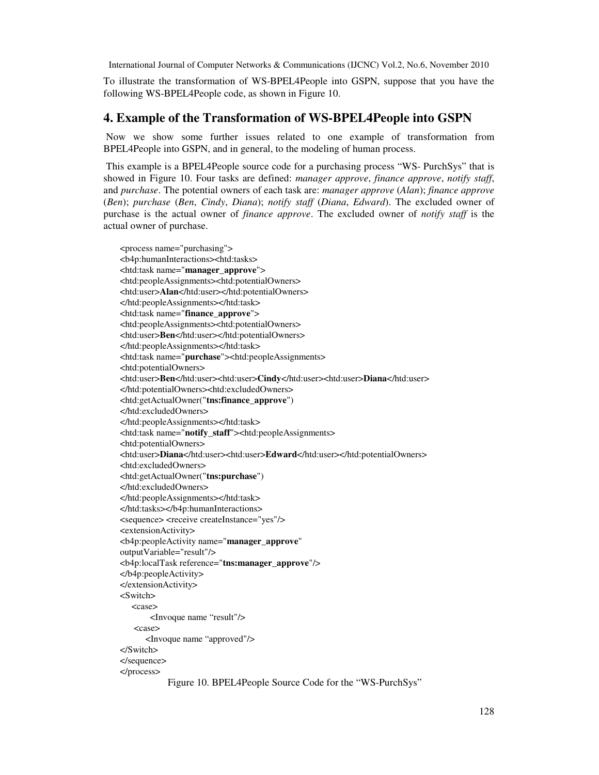To illustrate the transformation of WS-BPEL4People into GSPN, suppose that you have the following WS-BPEL4People code, as shown in Figure 10.

### **4. Example of the Transformation of WS-BPEL4People into GSPN**

 Now we show some further issues related to one example of transformation from BPEL4People into GSPN, and in general, to the modeling of human process.

 This example is a BPEL4People source code for a purchasing process "WS- PurchSys" that is showed in Figure 10. Four tasks are defined: *manager approve*, *finance approve*, *notify staff*, and *purchase*. The potential owners of each task are: *manager approve* (*Alan*); *finance approve*  (*Ben*); *purchase* (*Ben*, *Cindy*, *Diana*); *notify staff* (*Diana*, *Edward*). The excluded owner of purchase is the actual owner of *finance approve*. The excluded owner of *notify staff* is the actual owner of purchase.

<process name="purchasing"> <b4p:humanInteractions><htd:tasks> <htd:task name="**manager\_approve**"> <htd:peopleAssignments><htd:potentialOwners> <htd:user>**Alan**</htd:user></htd:potentialOwners> </htd:peopleAssignments></htd:task> <htd:task name="**finance\_approve**"> <htd:peopleAssignments><htd:potentialOwners> <htd:user>**Ben**</htd:user></htd:potentialOwners> </htd:peopleAssignments></htd:task> <htd:task name="**purchase**"><htd:peopleAssignments> <htd:potentialOwners> <htd:user>**Ben**</htd:user><htd:user>**Cindy**</htd:user><htd:user>**Diana**</htd:user> </htd:potentialOwners><htd:excludedOwners> <htd:getActualOwner("**tns:finance\_approve**") </htd:excludedOwners> </htd:peopleAssignments></htd:task> <htd:task name="**notify\_staff**"><htd:peopleAssignments> <htd:potentialOwners> <htd:user>**Diana**</htd:user><htd:user>**Edward**</htd:user></htd:potentialOwners> <htd:excludedOwners> <htd:getActualOwner("**tns:purchase**") </htd:excludedOwners> </htd:peopleAssignments></htd:task> </htd:tasks></b4p:humanInteractions> <sequence> <receive createInstance="yes"/> <extensionActivity> <b4p:peopleActivity name="**manager\_approve**" outputVariable="result"/> <b4p:localTask reference="**tns:manager\_approve**"/> </b4p:peopleActivity> </extensionActivity> <Switch> <case> <Invoque name "result"/> <case> <Invoque name "approved"/> </Switch> </sequence> </process> Figure 10. BPEL4People Source Code for the "WS-PurchSys"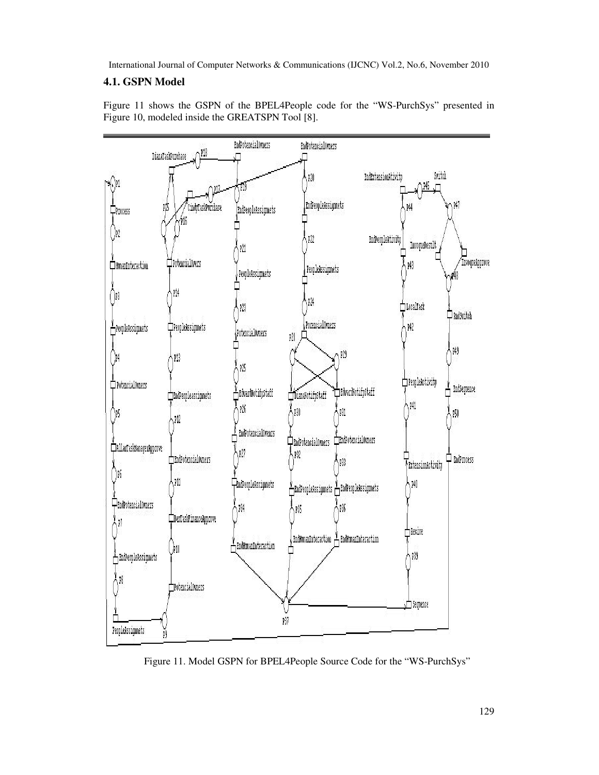## **4.1. GSPN Model**



Figure 11 shows the GSPN of the BPEL4People code for the "WS-PurchSys" presented in Figure 10, modeled inside the GREATSPN Tool [8].

Figure 11. Model GSPN for BPEL4People Source Code for the "WS-PurchSys"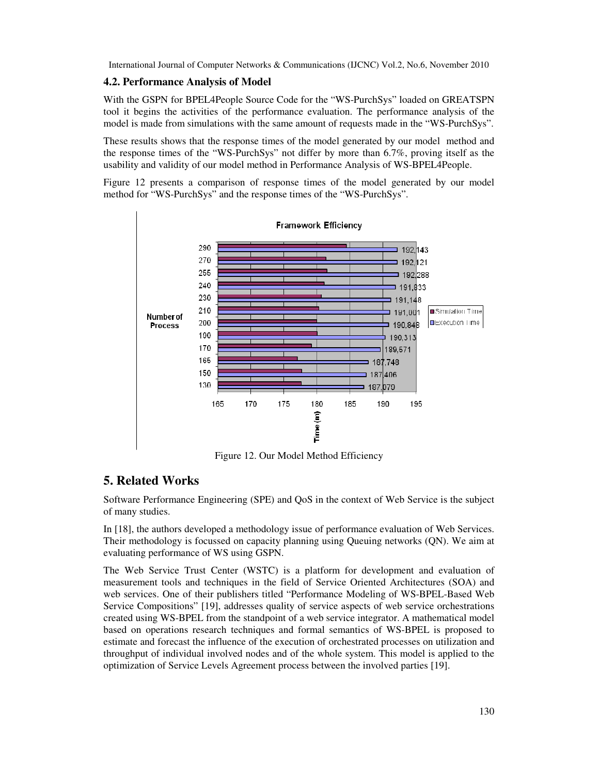### **4.2. Performance Analysis of Model**

With the GSPN for BPEL4People Source Code for the "WS-PurchSys" loaded on GREATSPN tool it begins the activities of the performance evaluation. The performance analysis of the model is made from simulations with the same amount of requests made in the "WS-PurchSys".

These results shows that the response times of the model generated by our model method and the response times of the "WS-PurchSys" not differ by more than 6.7%, proving itself as the usability and validity of our model method in Performance Analysis of WS-BPEL4People.

Figure 12 presents a comparison of response times of the model generated by our model method for "WS-PurchSys" and the response times of the "WS-PurchSys".



Figure 12. Our Model Method Efficiency

## **5. Related Works**

Software Performance Engineering (SPE) and QoS in the context of Web Service is the subject of many studies.

In [18], the authors developed a methodology issue of performance evaluation of Web Services. Their methodology is focussed on capacity planning using Queuing networks (QN). We aim at evaluating performance of WS using GSPN.

The Web Service Trust Center (WSTC) is a platform for development and evaluation of measurement tools and techniques in the field of Service Oriented Architectures (SOA) and web services. One of their publishers titled "Performance Modeling of WS-BPEL-Based Web Service Compositions" [19], addresses quality of service aspects of web service orchestrations created using WS-BPEL from the standpoint of a web service integrator. A mathematical model based on operations research techniques and formal semantics of WS-BPEL is proposed to estimate and forecast the influence of the execution of orchestrated processes on utilization and throughput of individual involved nodes and of the whole system. This model is applied to the optimization of Service Levels Agreement process between the involved parties [19].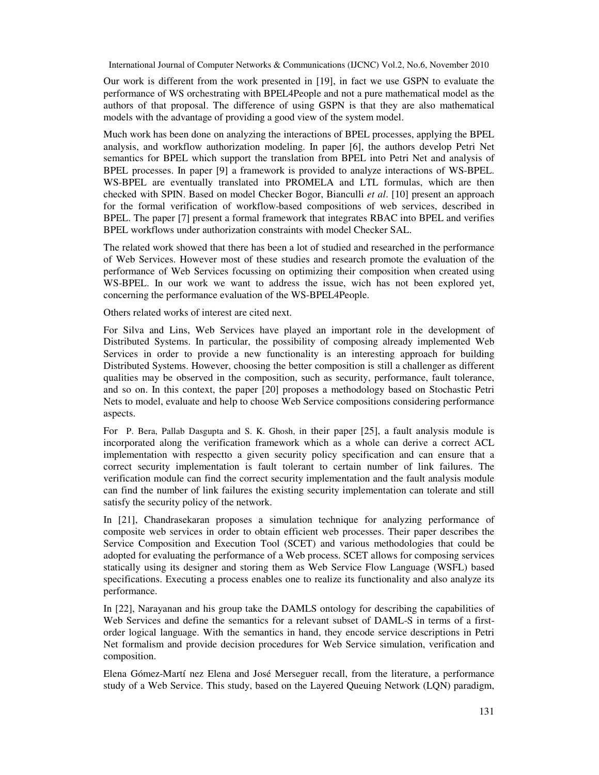Our work is different from the work presented in [19], in fact we use GSPN to evaluate the performance of WS orchestrating with BPEL4People and not a pure mathematical model as the authors of that proposal. The difference of using GSPN is that they are also mathematical models with the advantage of providing a good view of the system model.

Much work has been done on analyzing the interactions of BPEL processes, applying the BPEL analysis, and workflow authorization modeling. In paper [6], the authors develop Petri Net semantics for BPEL which support the translation from BPEL into Petri Net and analysis of BPEL processes. In paper [9] a framework is provided to analyze interactions of WS-BPEL. WS-BPEL are eventually translated into PROMELA and LTL formulas, which are then checked with SPIN. Based on model Checker Bogor, Bianculli *et al*. [10] present an approach for the formal verification of workflow-based compositions of web services, described in BPEL. The paper [7] present a formal framework that integrates RBAC into BPEL and verifies BPEL workflows under authorization constraints with model Checker SAL.

The related work showed that there has been a lot of studied and researched in the performance of Web Services. However most of these studies and research promote the evaluation of the performance of Web Services focussing on optimizing their composition when created using WS-BPEL. In our work we want to address the issue, wich has not been explored yet, concerning the performance evaluation of the WS-BPEL4People.

Others related works of interest are cited next.

For Silva and Lins, Web Services have played an important role in the development of Distributed Systems. In particular, the possibility of composing already implemented Web Services in order to provide a new functionality is an interesting approach for building Distributed Systems. However, choosing the better composition is still a challenger as different qualities may be observed in the composition, such as security, performance, fault tolerance, and so on. In this context, the paper [20] proposes a methodology based on Stochastic Petri Nets to model, evaluate and help to choose Web Service compositions considering performance aspects.

For P. Bera, Pallab Dasgupta and S. K. Ghosh, in their paper [25], a fault analysis module is incorporated along the verification framework which as a whole can derive a correct ACL implementation with respectto a given security policy specification and can ensure that a correct security implementation is fault tolerant to certain number of link failures. The verification module can find the correct security implementation and the fault analysis module can find the number of link failures the existing security implementation can tolerate and still satisfy the security policy of the network.

In [21], Chandrasekaran proposes a simulation technique for analyzing performance of composite web services in order to obtain efficient web processes. Their paper describes the Service Composition and Execution Tool (SCET) and various methodologies that could be adopted for evaluating the performance of a Web process. SCET allows for composing services statically using its designer and storing them as Web Service Flow Language (WSFL) based specifications. Executing a process enables one to realize its functionality and also analyze its performance.

In [22], Narayanan and his group take the DAMLS ontology for describing the capabilities of Web Services and define the semantics for a relevant subset of DAML-S in terms of a firstorder logical language. With the semantics in hand, they encode service descriptions in Petri Net formalism and provide decision procedures for Web Service simulation, verification and composition.

Elena Gómez-Martí nez Elena and José Merseguer recall, from the literature, a performance study of a Web Service. This study, based on the Layered Queuing Network (LQN) paradigm,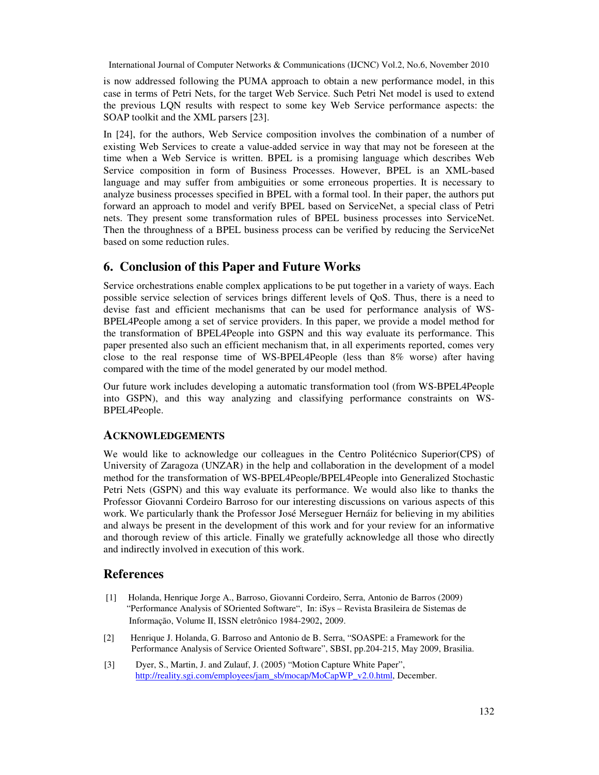is now addressed following the PUMA approach to obtain a new performance model, in this case in terms of Petri Nets, for the target Web Service. Such Petri Net model is used to extend the previous LQN results with respect to some key Web Service performance aspects: the SOAP toolkit and the XML parsers [23].

In [24], for the authors, Web Service composition involves the combination of a number of existing Web Services to create a value-added service in way that may not be foreseen at the time when a Web Service is written. BPEL is a promising language which describes Web Service composition in form of Business Processes. However, BPEL is an XML-based language and may suffer from ambiguities or some erroneous properties. It is necessary to analyze business processes specified in BPEL with a formal tool. In their paper, the authors put forward an approach to model and verify BPEL based on ServiceNet, a special class of Petri nets. They present some transformation rules of BPEL business processes into ServiceNet. Then the throughness of a BPEL business process can be verified by reducing the ServiceNet based on some reduction rules.

## **6. Conclusion of this Paper and Future Works**

Service orchestrations enable complex applications to be put together in a variety of ways. Each possible service selection of services brings different levels of QoS. Thus, there is a need to devise fast and efficient mechanisms that can be used for performance analysis of WS-BPEL4People among a set of service providers. In this paper, we provide a model method for the transformation of BPEL4People into GSPN and this way evaluate its performance. This paper presented also such an efficient mechanism that, in all experiments reported, comes very close to the real response time of WS-BPEL4People (less than 8% worse) after having compared with the time of the model generated by our model method.

Our future work includes developing a automatic transformation tool (from WS-BPEL4People into GSPN), and this way analyzing and classifying performance constraints on WS-BPEL4People.

## **ACKNOWLEDGEMENTS**

We would like to acknowledge our colleagues in the Centro Politécnico Superior(CPS) of University of Zaragoza (UNZAR) in the help and collaboration in the development of a model method for the transformation of WS-BPEL4People/BPEL4People into Generalized Stochastic Petri Nets (GSPN) and this way evaluate its performance. We would also like to thanks the Professor Giovanni Cordeiro Barroso for our interesting discussions on various aspects of this work. We particularly thank the Professor José Merseguer Hernáiz for believing in my abilities and always be present in the development of this work and for your review for an informative and thorough review of this article. Finally we gratefully acknowledge all those who directly and indirectly involved in execution of this work.

## **References**

- [1] Holanda, Henrique Jorge A., Barroso, Giovanni Cordeiro, Serra, Antonio de Barros (2009) "Performance Analysis of SOriented Software", In: iSys – Revista Brasileira de Sistemas de Informação, Volume II, ISSN eletrônico 1984-2902, 2009.
- [2] Henrique J. Holanda, G. Barroso and Antonio de B. Serra, "SOASPE: a Framework for the Performance Analysis of Service Oriented Software", SBSI, pp.204-215, May 2009, Brasilia.
- [3] Dyer, S., Martin, J. and Zulauf, J. (2005) "Motion Capture White Paper", http://reality.sgi.com/employees/jam\_sb/mocap/MoCapWP\_v2.0.html, December.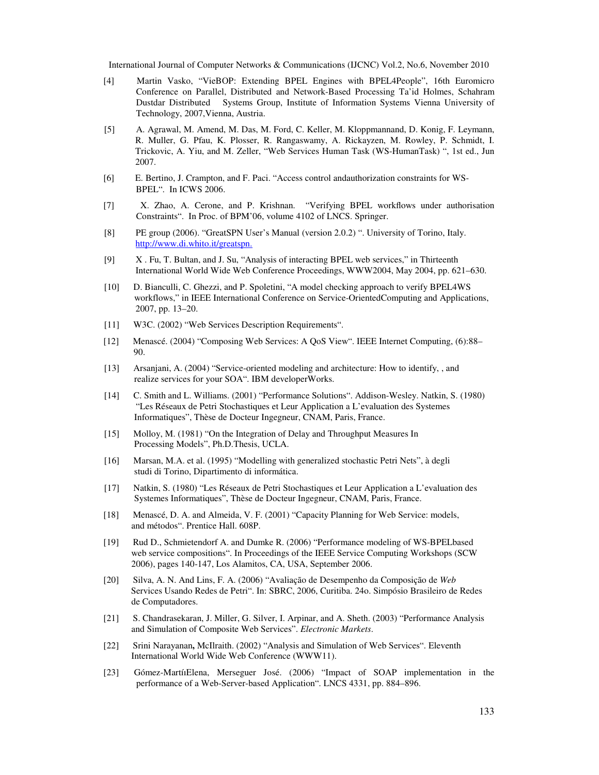- [4] Martin Vasko, "VieBOP: Extending BPEL Engines with BPEL4People", 16th Euromicro Conference on Parallel, Distributed and Network-Based Processing Ta'id Holmes, Schahram Dustdar Distributed Systems Group, Institute of Information Systems Vienna University of Technology, 2007,Vienna, Austria.
- [5] A. Agrawal, M. Amend, M. Das, M. Ford, C. Keller, M. Kloppmannand, D. Konig, F. Leymann, R. Muller, G. Pfau, K. Plosser, R. Rangaswamy, A. Rickayzen, M. Rowley, P. Schmidt, I. Trickovic, A. Yiu, and M. Zeller, "Web Services Human Task (WS-HumanTask) ", 1st ed., Jun 2007.
- [6] E. Bertino, J. Crampton, and F. Paci. "Access control andauthorization constraints for WS- BPEL". In ICWS 2006.
- [7] X. Zhao, A. Cerone, and P. Krishnan. "Verifying BPEL workflows under authorisation Constraints". In Proc. of BPM'06, volume 4102 of LNCS. Springer.
- [8] PE group (2006). "GreatSPN User's Manual (version 2.0.2) ". University of Torino, Italy. http://www.di.whito.it/greatspn.
- [9] X . Fu, T. Bultan, and J. Su, "Analysis of interacting BPEL web services," in Thirteenth International World Wide Web Conference Proceedings, WWW2004, May 2004, pp. 621–630.
- [10] D. Bianculli, C. Ghezzi, and P. Spoletini, "A model checking approach to verify BPEL4WS workflows," in IEEE International Conference on Service-OrientedComputing and Applications, 2007, pp. 13–20.
- [11] W3C. (2002) "Web Services Description Requirements".
- [12] Menascé. (2004) "Composing Web Services: A QoS View". IEEE Internet Computing, (6):88– 90.
- [13] Arsanjani, A. (2004) "Service-oriented modeling and architecture: How to identify, , and realize services for your SOA". IBM developerWorks.
- [14] C. Smith and L. Williams. (2001) "Performance Solutions". Addison-Wesley. Natkin, S. (1980) "Les Réseaux de Petri Stochastiques et Leur Application a L'evaluation des Systemes Informatiques", Thèse de Docteur Ingegneur, CNAM, Paris, France.
- [15] Molloy, M. (1981) "On the Integration of Delay and Throughput Measures In Processing Models", Ph.D.Thesis, UCLA.
- [16] Marsan, M.A. et al. (1995) "Modelling with generalized stochastic Petri Nets", à degli studi di Torino, Dipartimento di informática.
- [17] Natkin, S. (1980) "Les Réseaux de Petri Stochastiques et Leur Application a L'evaluation des Systemes Informatiques", Thèse de Docteur Ingegneur, CNAM, Paris, France.
- [18] Menascé, D. A. and Almeida, V. F. (2001) "Capacity Planning for Web Service: models, and métodos". Prentice Hall. 608P.
- [19] Rud D., Schmietendorf A. and Dumke R. (2006) "Performance modeling of WS-BPELbased web service compositions". In Proceedings of the IEEE Service Computing Workshops (SCW 2006), pages 140-147, Los Alamitos, CA, USA, September 2006.
- [20] Silva, A. N. And Lins, F. A. (2006) "Avaliação de Desempenho da Composição de *Web* Services Usando Redes de Petri". In: SBRC, 2006, Curitiba. 24o. Simpósio Brasileiro de Redes de Computadores.
- [21] S. Chandrasekaran, J. Miller, G. Silver, I. Arpinar, and A. Sheth. (2003) "Performance Analysis and Simulation of Composite Web Services". *Electronic Markets*.
- [22] Srini Narayanan**,** McIlraith. (2002) "Analysis and Simulation of Web Services". Eleventh International World Wide Web Conference (WWW11).
- [23] Gómez-MartíıElena, Merseguer José. (2006) "Impact of SOAP implementation in the performance of a Web-Server-based Application". LNCS 4331, pp. 884–896.